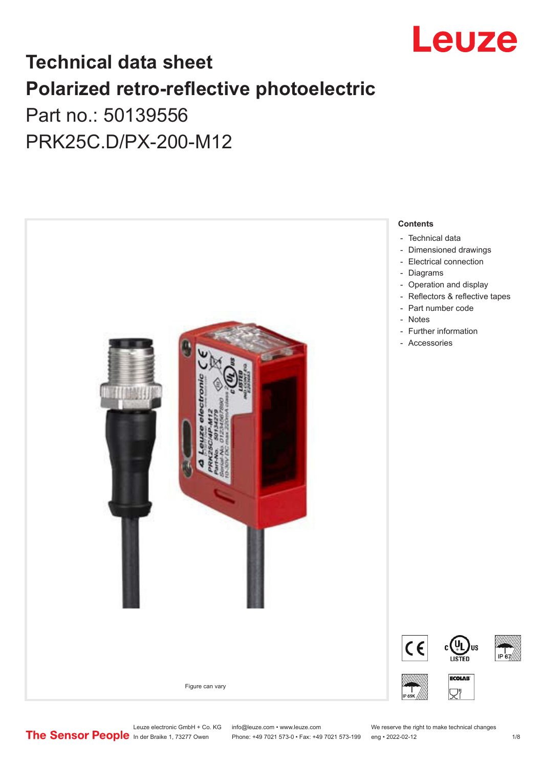

## **Technical data sheet Polarized retro-reflective photoelectric**  Part no.: 50139556

PRK25C.D/PX-200-M12



Leuze electronic GmbH + Co. KG info@leuze.com • www.leuze.com We reserve the right to make technical changes<br>
The Sensor People in der Braike 1, 73277 Owen Phone: +49 7021 573-0 • Fax: +49 7021 573-199 eng • 2022-02-12

Phone: +49 7021 573-0 • Fax: +49 7021 573-199 eng • 2022-02-12 12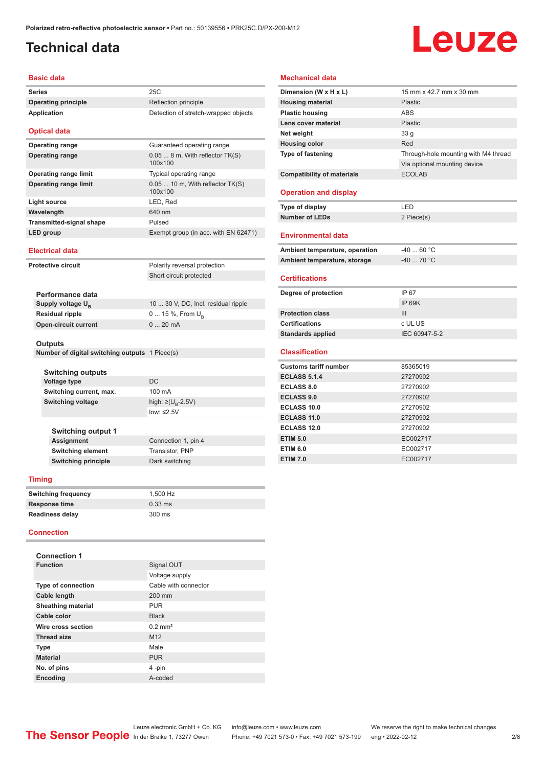## <span id="page-1-0"></span>**Technical data**

# Leuze

#### **Basic data**

| Series                                         | 25C                                          |
|------------------------------------------------|----------------------------------------------|
| <b>Operating principle</b>                     | Reflection principle                         |
| <b>Application</b>                             | Detection of stretch-wrapped objects         |
| <b>Optical data</b>                            |                                              |
| <b>Operating range</b>                         | Guaranteed operating range                   |
| <b>Operating range</b>                         | 0.05  8 m, With reflector TK(S)<br>100x100   |
| <b>Operating range limit</b>                   | Typical operating range                      |
| <b>Operating range limit</b>                   | $0.05$ 10 m, With reflector TK(S)<br>100x100 |
| Light source                                   | LED, Red                                     |
| Wavelength                                     | 640 nm                                       |
| <b>Transmitted-signal shape</b>                | Pulsed                                       |
| <b>LED</b> group                               | Exempt group (in acc. with EN 62471)         |
| <b>Electrical data</b>                         |                                              |
| <b>Protective circuit</b>                      | Polarity reversal protection                 |
|                                                | Short circuit protected                      |
| Performance data                               |                                              |
| Supply voltage U <sub>B</sub>                  | 10  30 V, DC, Incl. residual ripple          |
| <b>Residual ripple</b>                         | 0  15 %, From $U_{\rm B}$                    |
| <b>Open-circuit current</b>                    | 020mA                                        |
| <b>Outputs</b>                                 |                                              |
|                                                |                                              |
| Number of digital switching outputs 1 Piece(s) |                                              |
| <b>Switching outputs</b>                       |                                              |
| Voltage type                                   | DC                                           |
| Switching current, max.                        | 100 mA                                       |

low: ≤2.5V

**Connection 1, pin 4** 

#### **Mechanical data**

| Dimension (W x H x L)             | 15 mm x 42.7 mm x 30 mm              |
|-----------------------------------|--------------------------------------|
| <b>Housing material</b>           | Plastic.                             |
| <b>Plastic housing</b>            | <b>ABS</b>                           |
| Lens cover material               | Plastic                              |
| Net weight                        | 33 <sub>q</sub>                      |
| <b>Housing color</b>              | Red                                  |
| Type of fastening                 | Through-hole mounting with M4 thread |
|                                   | Via optional mounting device         |
| <b>Compatibility of materials</b> | <b>ECOLAB</b>                        |
| <b>Operation and display</b>      |                                      |
| Type of display                   | LED                                  |
| <b>Number of LEDs</b>             | 2 Piece(s)                           |
| <b>Environmental data</b>         |                                      |
| Ambient temperature, operation    | $-4060 °C$                           |
| Ambient temperature, storage      | $-4070 °C$                           |
| <b>Certifications</b>             |                                      |
| Degree of protection              | IP 67                                |
|                                   | <b>IP 69K</b>                        |
| <b>Protection class</b>           | III                                  |
| <b>Certifications</b>             | c UL US                              |
| <b>Standards applied</b>          | IEC 60947-5-2                        |
| <b>Classification</b>             |                                      |
| <b>Customs tariff number</b>      | 85365019                             |
| <b>ECLASS 5.1.4</b>               | 27270902                             |
| <b>ECLASS 8.0</b>                 | 27270902                             |
| <b>ECLASS 9.0</b>                 | 27270902                             |
| <b>ECLASS 10.0</b>                | 27270902                             |
| <b>ECLASS 11.0</b>                | 27270902                             |
| <b>ECLASS 12.0</b>                | 27270902                             |
| <b>ETIM 5.0</b>                   | EC002717                             |
| <b>ETIM 6.0</b>                   | EC002717                             |
| <b>ETIM 7.0</b>                   |                                      |
|                                   | EC002717                             |

#### **Switching principle** Dark switching

**Switching output 1**

| <b>Timing</b>              |           |  |
|----------------------------|-----------|--|
| <b>Switching frequency</b> | 1.500 Hz  |  |
| <b>Response time</b>       | $0.33$ ms |  |
| <b>Readiness delay</b>     | 300 ms    |  |

**Switching element** Transistor, PNP

#### **Connection**

| <b>Connection 1</b>       |                       |
|---------------------------|-----------------------|
| <b>Function</b>           | Signal OUT            |
|                           | Voltage supply        |
| <b>Type of connection</b> | Cable with connector  |
| Cable length              | 200 mm                |
| <b>Sheathing material</b> | <b>PUR</b>            |
| Cable color               | <b>Black</b>          |
| Wire cross section        | $0.2$ mm <sup>2</sup> |
| <b>Thread size</b>        | M <sub>12</sub>       |
| <b>Type</b>               | Male                  |
| <b>Material</b>           | <b>PUR</b>            |
| No. of pins               | 4-pin                 |
| <b>Encoding</b>           | A-coded               |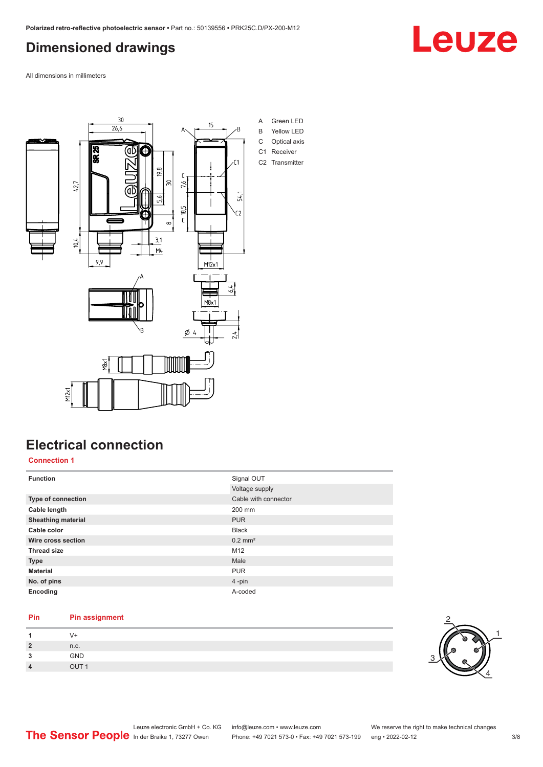## <span id="page-2-0"></span>**Dimensioned drawings**

All dimensions in millimeters



### **Electrical connection**

**Connection 1**

| <b>Function</b>           | Signal OUT            |  |
|---------------------------|-----------------------|--|
|                           | Voltage supply        |  |
| Type of connection        | Cable with connector  |  |
| Cable length              | 200 mm                |  |
| <b>Sheathing material</b> | <b>PUR</b>            |  |
| Cable color               | <b>Black</b>          |  |
| Wire cross section        | $0.2$ mm <sup>2</sup> |  |
| <b>Thread size</b>        | M12                   |  |
| <b>Type</b>               | Male                  |  |
| <b>Material</b>           | <b>PUR</b>            |  |
| No. of pins               | $4$ -pin              |  |
| Encoding                  | A-coded               |  |

#### **Pin Pin assignment**

|             | $v +$ |
|-------------|-------|
| າ<br>$\sim$ | n.c.  |
| о<br>$\sim$ | GND   |
| Λ           | OIII1 |



Leuze

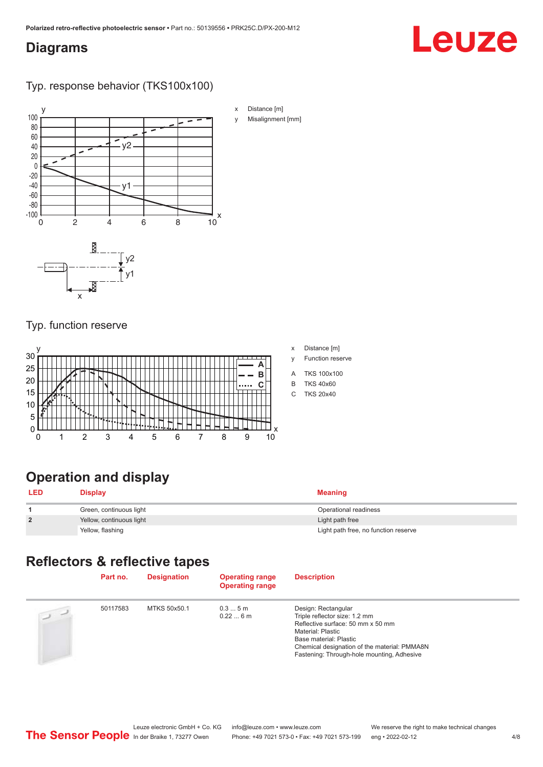#### <span id="page-3-0"></span>**Diagrams**

## Leuze

Typ. response behavior (TKS100x100)



#### Typ. function reserve



#### x Distance [m]

- y Function reserve
- A TKS 100x100
- B TKS 40x60
- C TKS 20x40

## **Operation and display**

| <b>LED</b>     | <b>Display</b>           | Meaning                              |
|----------------|--------------------------|--------------------------------------|
|                | Green, continuous light  | Operational readiness                |
| $\overline{2}$ | Yellow, continuous light | Light path free                      |
|                | Yellow, flashing         | Light path free, no function reserve |

## **Reflectors & reflective tapes**

|                | Part no. | <b>Designation</b> | <b>Operating range</b><br><b>Operating range</b> | <b>Description</b>                                                                                                                                                                                                                     |
|----------------|----------|--------------------|--------------------------------------------------|----------------------------------------------------------------------------------------------------------------------------------------------------------------------------------------------------------------------------------------|
| $\overline{u}$ | 50117583 | MTKS 50x50.1       | 0.35m<br>0.226m                                  | Design: Rectangular<br>Triple reflector size: 1.2 mm<br>Reflective surface: 50 mm x 50 mm<br>Material: Plastic<br>Base material: Plastic<br>Chemical designation of the material: PMMA8N<br>Fastening: Through-hole mounting, Adhesive |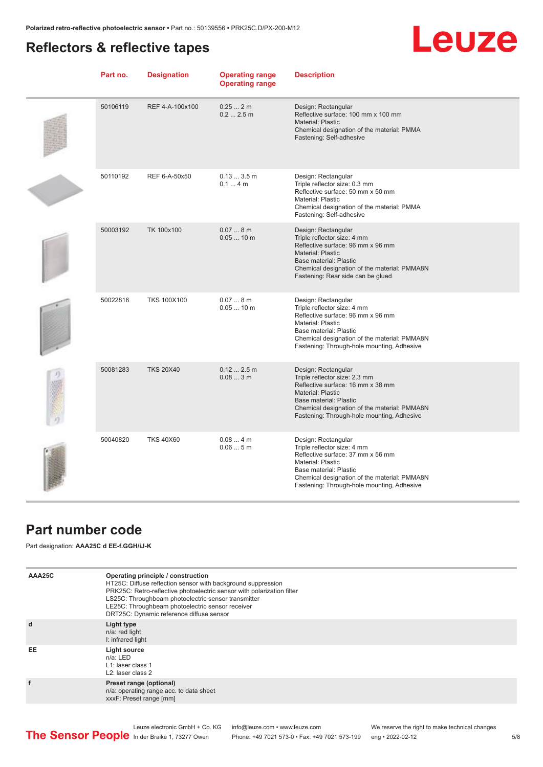### <span id="page-4-0"></span>**Reflectors & reflective tapes**

## **Leuze**

| Part no. | <b>Designation</b> | <b>Operating range</b><br><b>Operating range</b> | <b>Description</b>                                                                                                                                                                                                                          |
|----------|--------------------|--------------------------------------------------|---------------------------------------------------------------------------------------------------------------------------------------------------------------------------------------------------------------------------------------------|
| 50106119 | REF 4-A-100x100    | 0.252m<br>0.22.5m                                | Design: Rectangular<br>Reflective surface: 100 mm x 100 mm<br>Material: Plastic<br>Chemical designation of the material: PMMA<br>Fastening: Self-adhesive                                                                                   |
| 50110192 | REF 6-A-50x50      | 0.133.5m<br>0.14m                                | Design: Rectangular<br>Triple reflector size: 0.3 mm<br>Reflective surface: 50 mm x 50 mm<br>Material: Plastic<br>Chemical designation of the material: PMMA<br>Fastening: Self-adhesive                                                    |
| 50003192 | TK 100x100         | 0.078m<br>$0.0510$ m                             | Design: Rectangular<br>Triple reflector size: 4 mm<br>Reflective surface: 96 mm x 96 mm<br>Material: Plastic<br>Base material: Plastic<br>Chemical designation of the material: PMMA8N<br>Fastening: Rear side can be glued                 |
| 50022816 | <b>TKS 100X100</b> | 0.078m<br>$0.0510$ m                             | Design: Rectangular<br>Triple reflector size: 4 mm<br>Reflective surface: 96 mm x 96 mm<br>Material: Plastic<br>Base material: Plastic<br>Chemical designation of the material: PMMA8N<br>Fastening: Through-hole mounting, Adhesive        |
| 50081283 | <b>TKS 20X40</b>   | 0.122.5m<br>0.083m                               | Design: Rectangular<br>Triple reflector size: 2.3 mm<br>Reflective surface: 16 mm x 38 mm<br>Material: Plastic<br>Base material: Plastic<br>Chemical designation of the material: PMMA8N<br>Fastening: Through-hole mounting, Adhesive      |
| 50040820 | <b>TKS 40X60</b>   | 0.084m<br>0.065m                                 | Design: Rectangular<br>Triple reflector size: 4 mm<br>Reflective surface: 37 mm x 56 mm<br><b>Material: Plastic</b><br>Base material: Plastic<br>Chemical designation of the material: PMMA8N<br>Fastening: Through-hole mounting, Adhesive |

#### **Part number code**

Part designation: **AAA25C d EE-f.GGH/iJ-K**

| AAA25C | Operating principle / construction<br>HT25C: Diffuse reflection sensor with background suppression<br>PRK25C: Retro-reflective photoelectric sensor with polarization filter<br>LS25C: Throughbeam photoelectric sensor transmitter<br>LE25C: Throughbeam photoelectric sensor receiver<br>DRT25C: Dynamic reference diffuse sensor |
|--------|-------------------------------------------------------------------------------------------------------------------------------------------------------------------------------------------------------------------------------------------------------------------------------------------------------------------------------------|
| d      | Light type<br>n/a: red light<br>I: infrared light                                                                                                                                                                                                                                                                                   |
| EE     | Light source<br>$n/a$ : LED<br>L1: laser class 1<br>L <sub>2</sub> : laser class 2                                                                                                                                                                                                                                                  |
|        | Preset range (optional)<br>n/a: operating range acc. to data sheet<br>xxxF: Preset range [mm]                                                                                                                                                                                                                                       |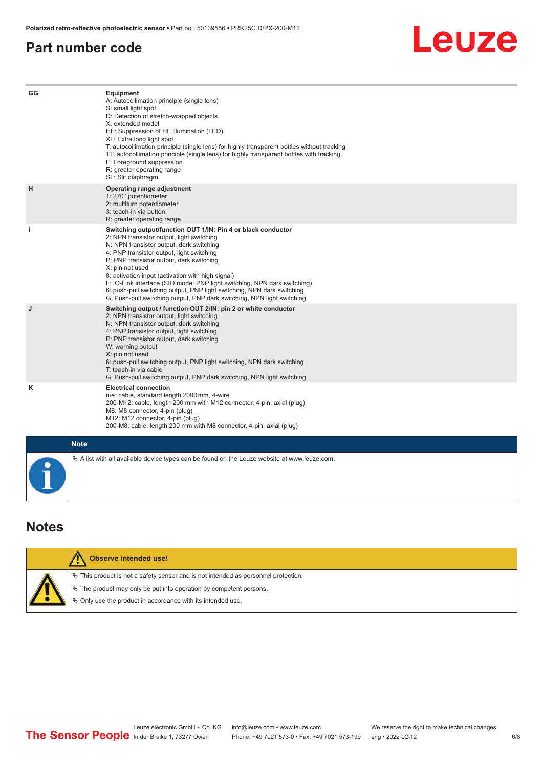#### <span id="page-5-0"></span>**Part number code**

## Leuze

| GG          | Equipment<br>A: Autocollimation principle (single lens)<br>S: small light spot<br>D: Detection of stretch-wrapped objects<br>X: extended model<br>HF: Suppression of HF illumination (LED)<br>XL: Extra long light spot<br>T: autocollimation principle (single lens) for highly transparent bottles without tracking<br>TT: autocollimation principle (single lens) for highly transparent bottles with tracking<br>F: Foreground suppression<br>R: greater operating range<br>SL: Slit diaphragm                                                     |
|-------------|--------------------------------------------------------------------------------------------------------------------------------------------------------------------------------------------------------------------------------------------------------------------------------------------------------------------------------------------------------------------------------------------------------------------------------------------------------------------------------------------------------------------------------------------------------|
| H           | Operating range adjustment<br>1: 270° potentiometer<br>2: multiturn potentiometer<br>3: teach-in via button<br>R: greater operating range                                                                                                                                                                                                                                                                                                                                                                                                              |
| j.          | Switching output/function OUT 1/IN: Pin 4 or black conductor<br>2: NPN transistor output, light switching<br>N: NPN transistor output, dark switching<br>4: PNP transistor output, light switching<br>P: PNP transistor output, dark switching<br>X: pin not used<br>8: activation input (activation with high signal)<br>L: IO-Link interface (SIO mode: PNP light switching, NPN dark switching)<br>6: push-pull switching output, PNP light switching, NPN dark switching<br>G: Push-pull switching output, PNP dark switching, NPN light switching |
| J           | Switching output / function OUT 2/IN: pin 2 or white conductor<br>2: NPN transistor output, light switching<br>N: NPN transistor output, dark switching<br>4: PNP transistor output, light switching<br>P: PNP transistor output, dark switching<br>W: warning output<br>X: pin not used<br>6: push-pull switching output, PNP light switching, NPN dark switching<br>T: teach-in via cable<br>G: Push-pull switching output, PNP dark switching, NPN light switching                                                                                  |
| ĸ           | <b>Electrical connection</b><br>n/a: cable, standard length 2000 mm, 4-wire<br>200-M12: cable, length 200 mm with M12 connector, 4-pin, axial (plug)<br>M8: M8 connector, 4-pin (plug)<br>M12: M12 connector, 4-pin (plug)<br>200-M8: cable, length 200 mm with M8 connector, 4-pin, axial (plug)                                                                                                                                                                                                                                                      |
| <b>Note</b> |                                                                                                                                                                                                                                                                                                                                                                                                                                                                                                                                                        |
| $\bullet$   | $\&$ A list with all available device types can be found on the Leuze website at www.leuze.com.                                                                                                                                                                                                                                                                                                                                                                                                                                                        |

#### **Notes**

| <b>Observe intended use!</b>                                                                                                                                                                                                  |
|-------------------------------------------------------------------------------------------------------------------------------------------------------------------------------------------------------------------------------|
| $\%$ This product is not a safety sensor and is not intended as personnel protection.<br>$\%$ The product may only be put into operation by competent persons.<br>♦ Only use the product in accordance with its intended use. |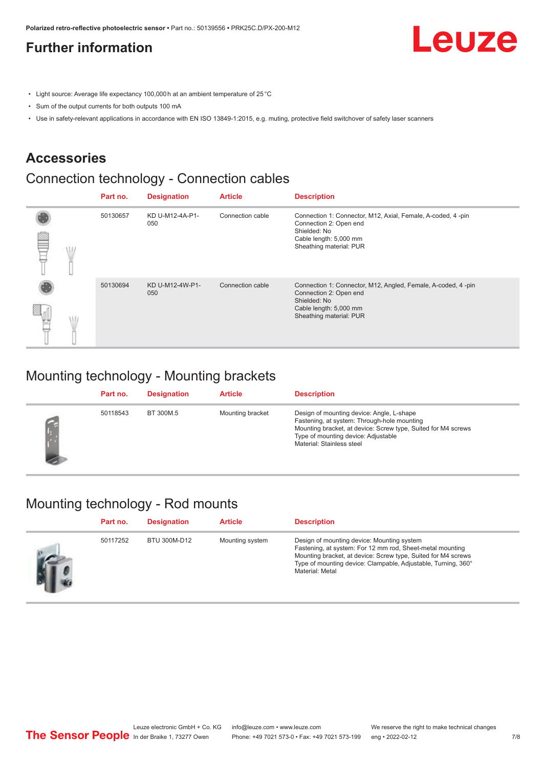### <span id="page-6-0"></span>**Further information**

Leuze

- Light source: Average life expectancy 100,000 h at an ambient temperature of 25 °C
- Sum of the output currents for both outputs 100 mA
- Use in safety-relevant applications in accordance with EN ISO 13849-1:2015, e.g. muting, protective field switchover of safety laser scanners

### **Accessories**

### Connection technology - Connection cables

|   | Part no. | <b>Designation</b>     | <b>Article</b>   | <b>Description</b>                                                                                                                                          |
|---|----------|------------------------|------------------|-------------------------------------------------------------------------------------------------------------------------------------------------------------|
| œ | 50130657 | KD U-M12-4A-P1-<br>050 | Connection cable | Connection 1: Connector, M12, Axial, Female, A-coded, 4-pin<br>Connection 2: Open end<br>Shielded: No<br>Cable length: 5,000 mm<br>Sheathing material: PUR  |
|   | 50130694 | KD U-M12-4W-P1-<br>050 | Connection cable | Connection 1: Connector, M12, Angled, Female, A-coded, 4-pin<br>Connection 2: Open end<br>Shielded: No<br>Cable length: 5,000 mm<br>Sheathing material: PUR |

#### Mounting technology - Mounting brackets

| Part no. | <b>Designation</b> | <b>Article</b>   | <b>Description</b>                                                                                                                                                                                                            |
|----------|--------------------|------------------|-------------------------------------------------------------------------------------------------------------------------------------------------------------------------------------------------------------------------------|
| 50118543 | BT 300M.5          | Mounting bracket | Design of mounting device: Angle, L-shape<br>Fastening, at system: Through-hole mounting<br>Mounting bracket, at device: Screw type, Suited for M4 screws<br>Type of mounting device: Adjustable<br>Material: Stainless steel |

#### Mounting technology - Rod mounts

| Part no. | <b>Designation</b> | <b>Article</b>  | <b>Description</b>                                                                                                                                                                                                                                           |
|----------|--------------------|-----------------|--------------------------------------------------------------------------------------------------------------------------------------------------------------------------------------------------------------------------------------------------------------|
| 50117252 | BTU 300M-D12       | Mounting system | Design of mounting device: Mounting system<br>Fastening, at system: For 12 mm rod, Sheet-metal mounting<br>Mounting bracket, at device: Screw type, Suited for M4 screws<br>Type of mounting device: Clampable, Adjustable, Turning, 360°<br>Material: Metal |